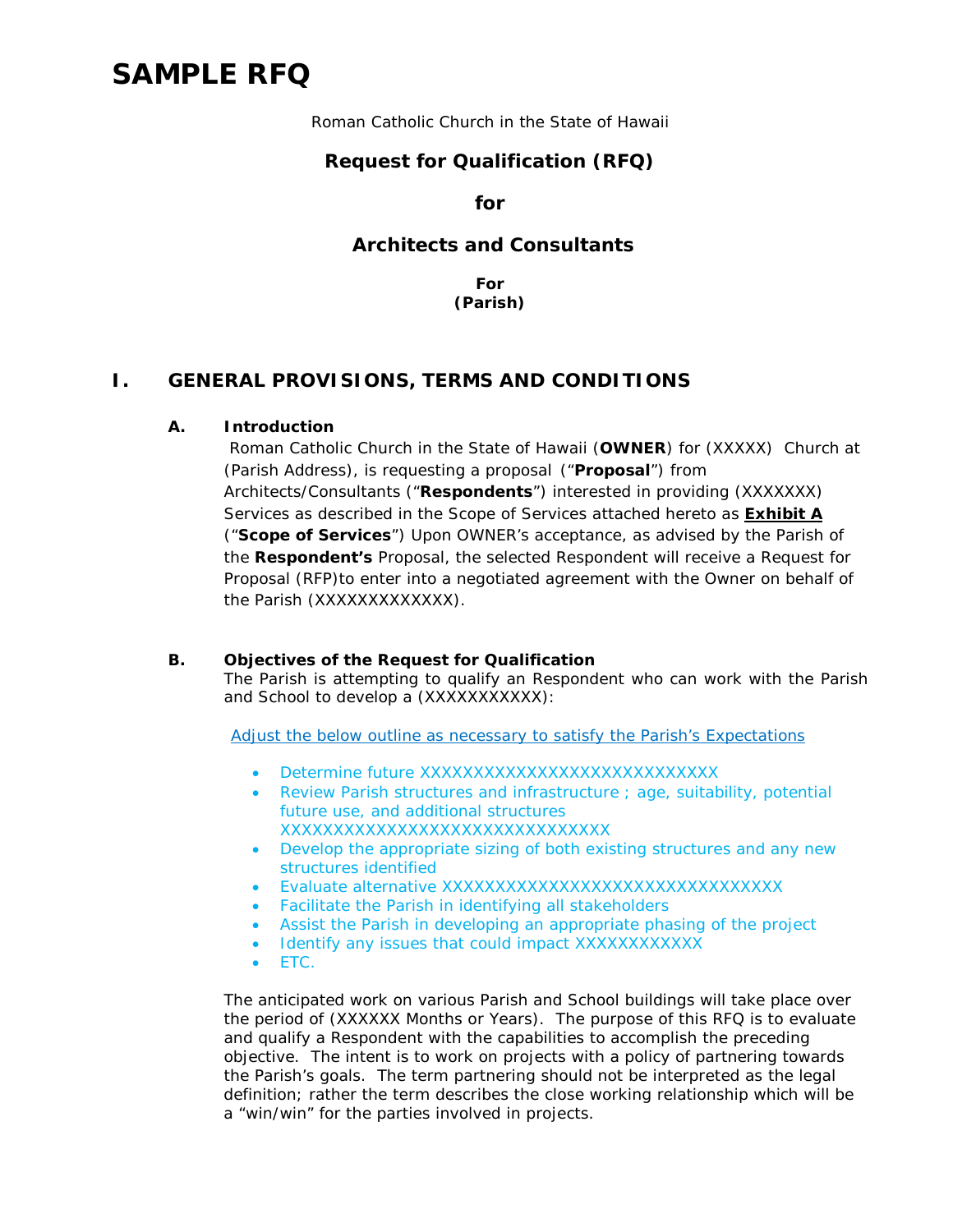# **SAMPLE RFQ**

Roman Catholic Church in the State of Hawaii

## **Request for Qualification (RFQ)**

**for**

#### **Architects and Consultants**

**For (Parish)**

### **I. GENERAL PROVISIONS, TERMS AND CONDITIONS**

#### **A. Introduction**

Roman Catholic Church in the State of Hawaii (**OWNER**) for (XXXXX) Church at (Parish Address), is requesting a proposal ("**Proposal**") from Architects/Consultants ("**Respondents**") interested in providing (XXXXXXX) Services as described in the Scope of Services attached hereto as **Exhibit A** ("**Scope of Services**") Upon OWNER's acceptance, as advised by the Parish of the **Respondent's** Proposal, the selected Respondent will receive a Request for Proposal (RFP)to enter into a negotiated agreement with the Owner on behalf of the Parish (XXXXXXXXXXXXX).

#### **B. Objectives of the Request for Qualification**

The Parish is attempting to qualify an Respondent who can work with the Parish and School to develop a (XXXXXXXXXXX):

Adjust the below outline as necessary to satisfy the Parish's Expectations

- Determine future XXXXXXXXXXXXXXXXXXXXXXXXXXXX
- Review Parish structures and infrastructure ; age, suitability, potential future use, and additional structures XXXXXXXXXXXXXXXXXXXXXXXXXXXXXXX
- Develop the appropriate sizing of both existing structures and any new structures identified
- Evaluate alternative XXXXXXXXXXXXXXXXXXXXXXXXXXXXXXXXX
- Facilitate the Parish in identifying all stakeholders
- Assist the Parish in developing an appropriate phasing of the project
- Identify any issues that could impact XXXXXXXXXXXX
- ETC.

The anticipated work on various Parish and School buildings will take place over the period of (XXXXXX Months or Years). The purpose of this RFQ is to evaluate and qualify a Respondent with the capabilities to accomplish the preceding objective. The intent is to work on projects with a policy of partnering towards the Parish's goals. The term partnering should not be interpreted as the legal definition; rather the term describes the close working relationship which will be a "win/win" for the parties involved in projects.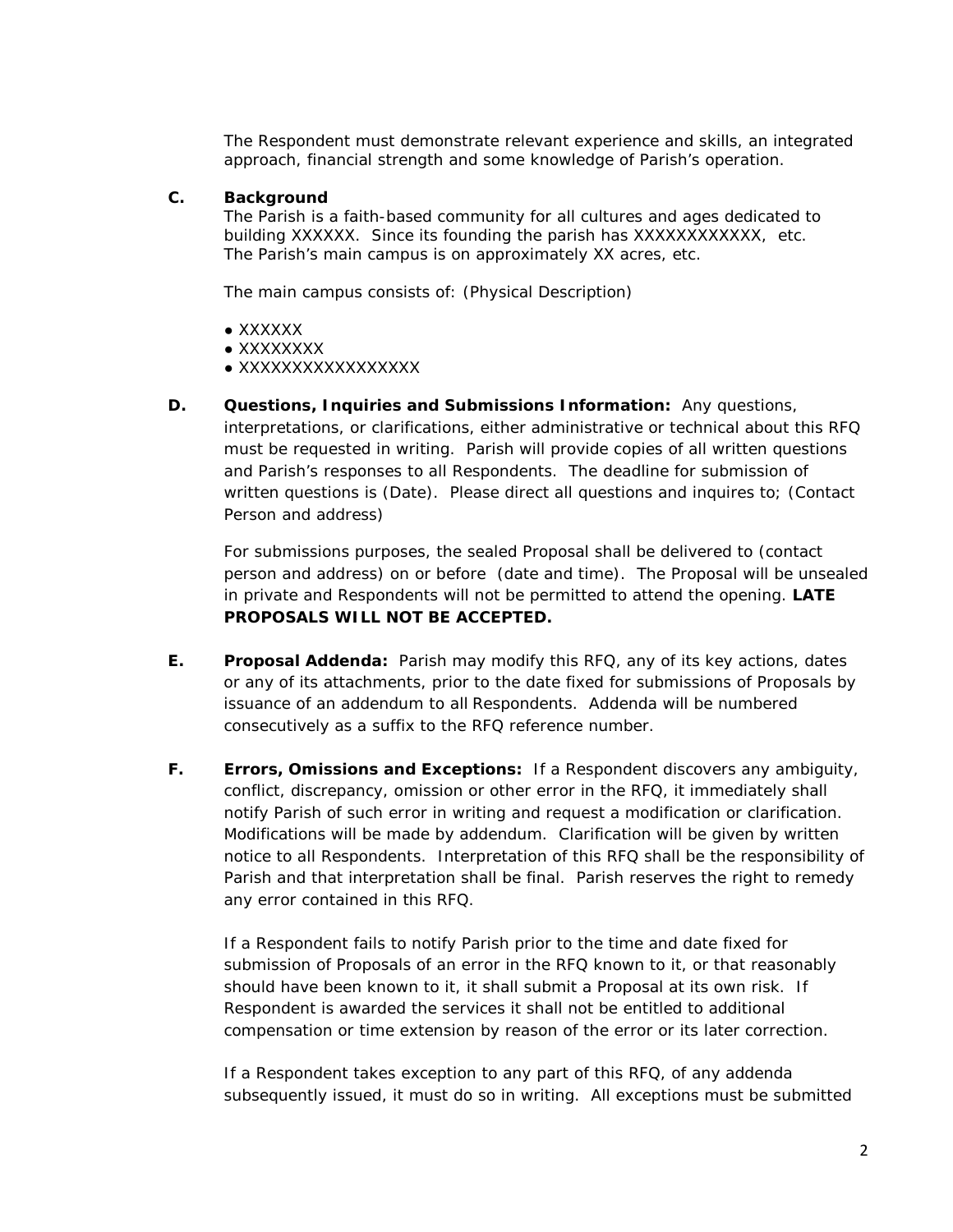The Respondent must demonstrate relevant experience and skills, an integrated approach, financial strength and some knowledge of Parish's operation.

#### **C. Background**

The Parish is a faith-based community for all cultures and ages dedicated to building XXXXXX. Since its founding the parish has XXXXXXXXXXXX, etc. The Parish's main campus is on approximately XX acres, etc.

The main campus consists of: (Physical Description)

- XXXXXX
- XXXXXXXX
- XXXXXXXXXXXXXXXXX
- **D. Questions, Inquiries and Submissions Information:** Any questions, interpretations, or clarifications, either administrative or technical about this RFQ must be requested in writing. Parish will provide copies of all written questions and Parish's responses to all Respondents. The deadline for submission of written questions is (Date). Please direct all questions and inquires to; (Contact Person and address)

For submissions purposes, the sealed Proposal shall be delivered to (contact person and address) on or before (date and time). The Proposal will be unsealed in private and Respondents will not be permitted to attend the opening. **LATE PROPOSALS WILL NOT BE ACCEPTED.**

- **E. Proposal Addenda:** Parish may modify this RFQ, any of its key actions, dates or any of its attachments, prior to the date fixed for submissions of Proposals by issuance of an addendum to all Respondents. Addenda will be numbered consecutively as a suffix to the RFQ reference number.
- **F. Errors, Omissions and Exceptions:** If a Respondent discovers any ambiguity, conflict, discrepancy, omission or other error in the RFQ, it immediately shall notify Parish of such error in writing and request a modification or clarification. Modifications will be made by addendum. Clarification will be given by written notice to all Respondents. Interpretation of this RFQ shall be the responsibility of Parish and that interpretation shall be final. Parish reserves the right to remedy any error contained in this RFQ.

If a Respondent fails to notify Parish prior to the time and date fixed for submission of Proposals of an error in the RFQ known to it, or that reasonably should have been known to it, it shall submit a Proposal at its own risk. If Respondent is awarded the services it shall not be entitled to additional compensation or time extension by reason of the error or its later correction.

If a Respondent takes exception to any part of this RFQ, of any addenda subsequently issued, it must do so in writing. All exceptions must be submitted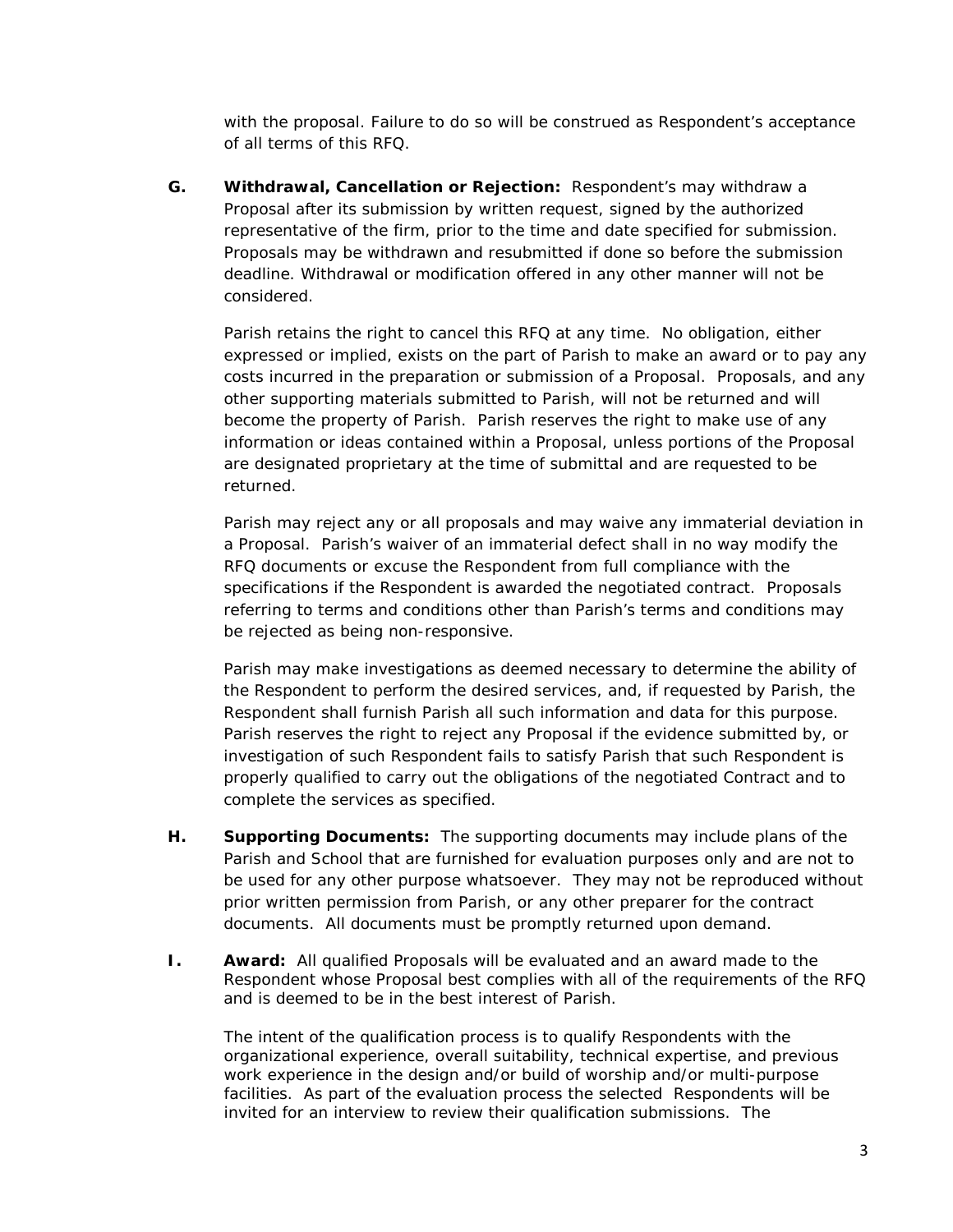with the proposal. Failure to do so will be construed as Respondent's acceptance of all terms of this RFQ.

**G. Withdrawal, Cancellation or Rejection:** Respondent's may withdraw a Proposal after its submission by written request, signed by the authorized representative of the firm, prior to the time and date specified for submission. Proposals may be withdrawn and resubmitted if done so before the submission deadline. Withdrawal or modification offered in any other manner will not be considered.

Parish retains the right to cancel this RFQ at any time. No obligation, either expressed or implied, exists on the part of Parish to make an award or to pay any costs incurred in the preparation or submission of a Proposal. Proposals, and any other supporting materials submitted to Parish, will not be returned and will become the property of Parish. Parish reserves the right to make use of any information or ideas contained within a Proposal, unless portions of the Proposal are designated proprietary at the time of submittal and are requested to be returned.

Parish may reject any or all proposals and may waive any immaterial deviation in a Proposal. Parish's waiver of an immaterial defect shall in no way modify the RFQ documents or excuse the Respondent from full compliance with the specifications if the Respondent is awarded the negotiated contract. Proposals referring to terms and conditions other than Parish's terms and conditions may be rejected as being non-responsive.

Parish may make investigations as deemed necessary to determine the ability of the Respondent to perform the desired services, and, if requested by Parish, the Respondent shall furnish Parish all such information and data for this purpose. Parish reserves the right to reject any Proposal if the evidence submitted by, or investigation of such Respondent fails to satisfy Parish that such Respondent is properly qualified to carry out the obligations of the negotiated Contract and to complete the services as specified.

- **H. Supporting Documents:** The supporting documents may include plans of the Parish and School that are furnished for evaluation purposes only and are not to be used for any other purpose whatsoever. They may not be reproduced without prior written permission from Parish, or any other preparer for the contract documents. All documents must be promptly returned upon demand.
- **I. Award:** All qualified Proposals will be evaluated and an award made to the Respondent whose Proposal best complies with all of the requirements of the RFQ and is deemed to be in the best interest of Parish.

The intent of the qualification process is to qualify Respondents with the organizational experience, overall suitability, technical expertise, and previous work experience in the design and/or build of worship and/or multi-purpose facilities. As part of the evaluation process the selected Respondents will be invited for an interview to review their qualification submissions. The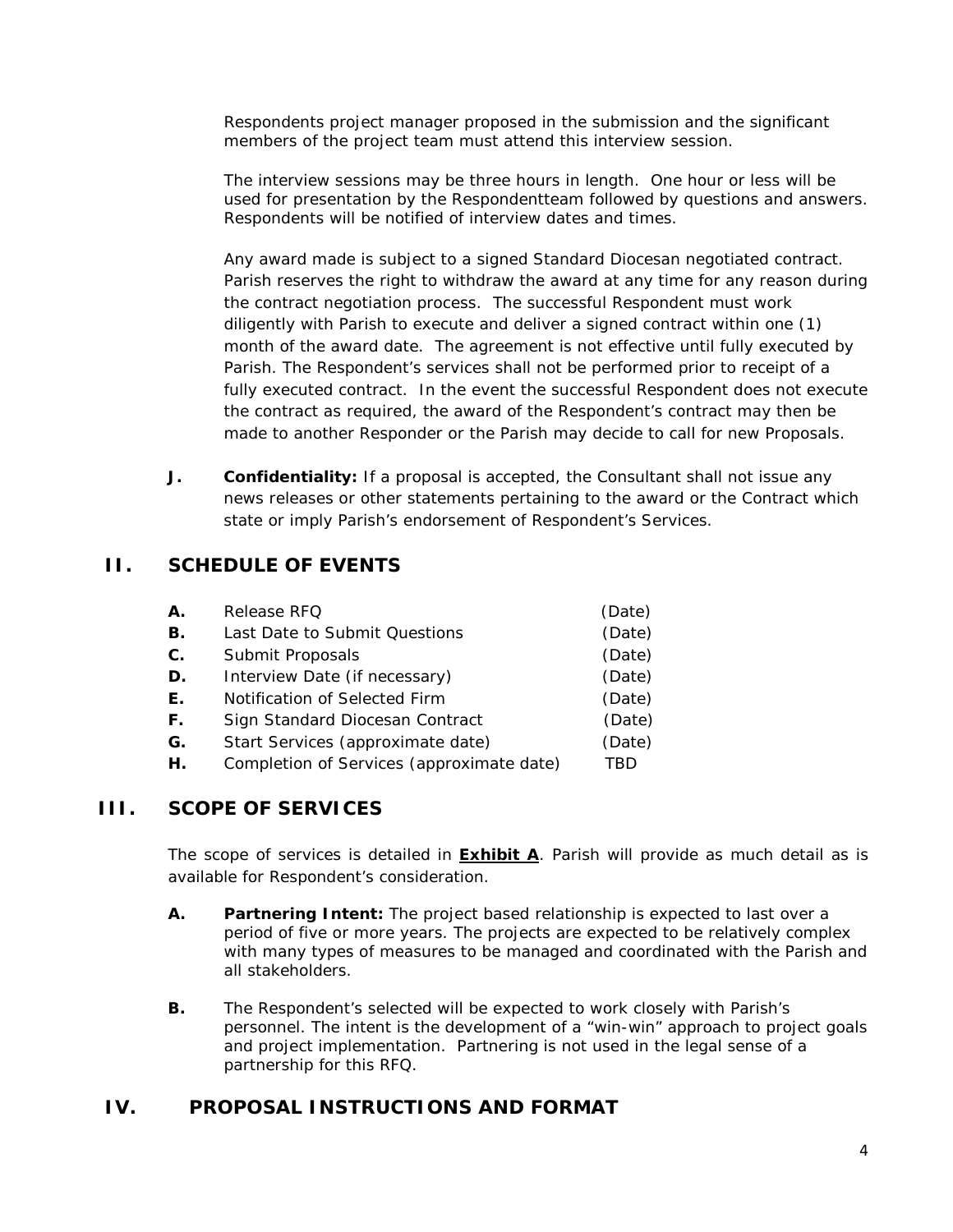Respondents project manager proposed in the submission and the significant members of the project team must attend this interview session.

The interview sessions may be three hours in length. One hour or less will be used for presentation by the Respondentteam followed by questions and answers. Respondents will be notified of interview dates and times.

Any award made is subject to a signed Standard Diocesan negotiated contract. Parish reserves the right to withdraw the award at any time for any reason during the contract negotiation process. The successful Respondent must work diligently with Parish to execute and deliver a signed contract within one (1) month of the award date. The agreement is not effective until fully executed by Parish. The Respondent's services shall not be performed prior to receipt of a fully executed contract. In the event the successful Respondent does not execute the contract as required, the award of the Respondent's contract may then be made to another Responder or the Parish may decide to call for new Proposals.

**J. Confidentiality:** If a proposal is accepted, the Consultant shall not issue any news releases or other statements pertaining to the award or the Contract which state or imply Parish's endorsement of Respondent's Services.

## **II. SCHEDULE OF EVENTS**

| Α. | Release RFQ                               | (Date) |
|----|-------------------------------------------|--------|
| Β. | Last Date to Submit Questions             | (Date) |
| С. | Submit Proposals                          | (Date) |
| D. | Interview Date (if necessary)             | (Date) |
| Е. | Notification of Selected Firm             | (Date) |
| F. | Sign Standard Diocesan Contract           | (Date) |
| G. | Start Services (approximate date)         | (Date) |
| Н. | Completion of Services (approximate date) | TRD    |
|    |                                           |        |

### **III. SCOPE OF SERVICES**

The scope of services is detailed in **Exhibit A**. Parish will provide as much detail as is available for Respondent's consideration.

- **A. Partnering Intent:** The project based relationship is expected to last over a period of five or more years. The projects are expected to be relatively complex with many types of measures to be managed and coordinated with the Parish and all stakeholders.
- **B.** The Respondent's selected will be expected to work closely with Parish's personnel. The intent is the development of a "win-win" approach to project goals and project implementation. Partnering is not used in the legal sense of a partnership for this RFQ.

## **IV. PROPOSAL INSTRUCTIONS AND FORMAT**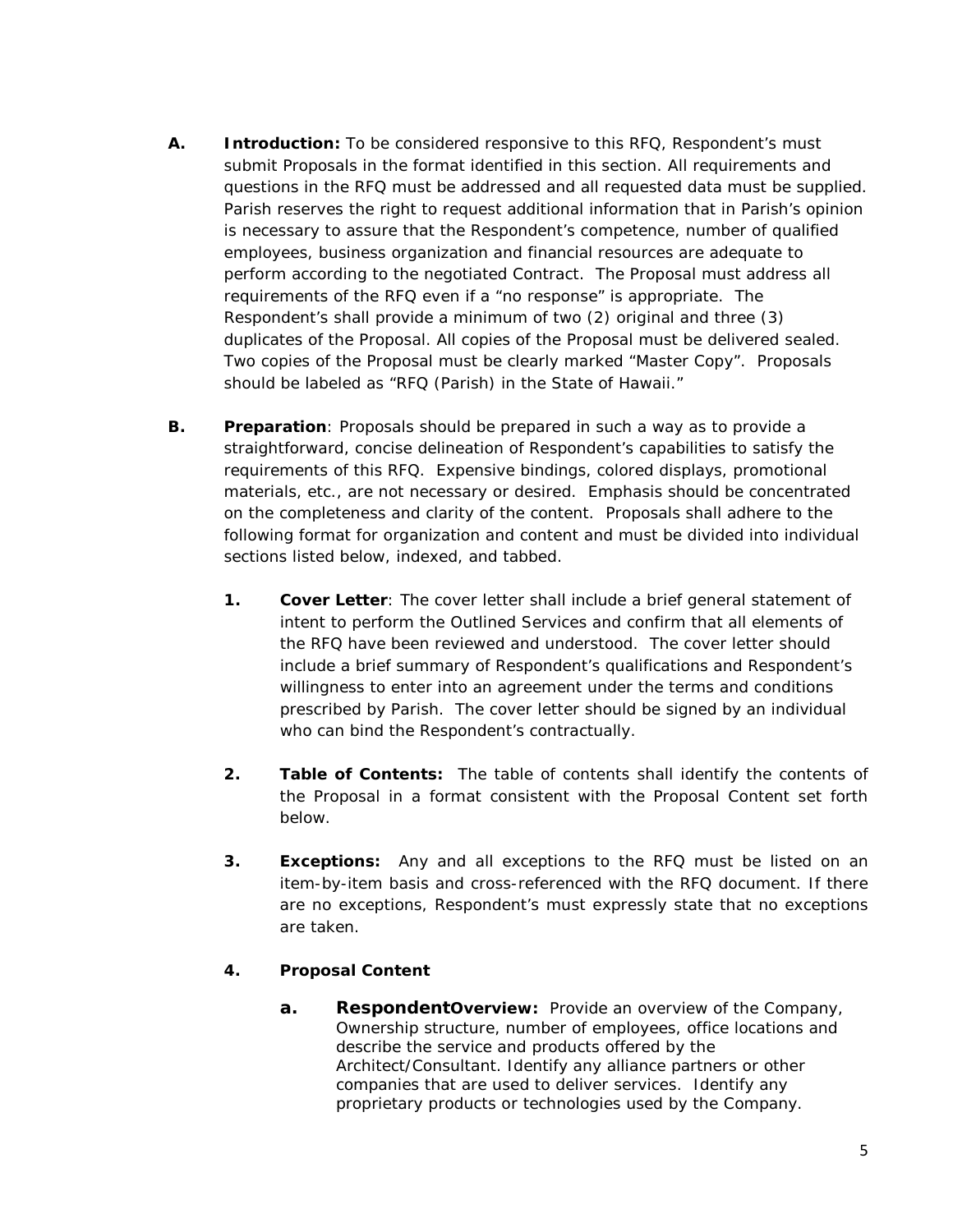- **A. Introduction:** To be considered responsive to this RFQ, Respondent's must submit Proposals in the format identified in this section. All requirements and questions in the RFQ must be addressed and all requested data must be supplied. Parish reserves the right to request additional information that in Parish's opinion is necessary to assure that the Respondent's competence, number of qualified employees, business organization and financial resources are adequate to perform according to the negotiated Contract. The Proposal must address all requirements of the RFQ even if a "no response" is appropriate. The Respondent's shall provide a minimum of two (2) original and three (3) duplicates of the Proposal. All copies of the Proposal must be delivered sealed. Two copies of the Proposal must be clearly marked "Master Copy". Proposals should be labeled as "RFQ (Parish) in the State of Hawaii."
- **B. Preparation**: Proposals should be prepared in such a way as to provide a straightforward, concise delineation of Respondent's capabilities to satisfy the requirements of this RFQ. Expensive bindings, colored displays, promotional materials, etc., are not necessary or desired. Emphasis should be concentrated on the completeness and clarity of the content. Proposals shall adhere to the following format for organization and content and must be divided into individual sections listed below, indexed, and tabbed.
	- **1. Cover Letter**: The cover letter shall include a brief general statement of intent to perform the Outlined Services and confirm that all elements of the RFQ have been reviewed and understood. The cover letter should include a brief summary of Respondent's qualifications and Respondent's willingness to enter into an agreement under the terms and conditions prescribed by Parish. The cover letter should be signed by an individual who can bind the Respondent's contractually.
	- **2. Table of Contents:** The table of contents shall identify the contents of the Proposal in a format consistent with the Proposal Content set forth below.
	- **3. Exceptions:** Any and all exceptions to the RFQ must be listed on an item-by-item basis and cross-referenced with the RFQ document. If there are no exceptions, Respondent's must expressly state that no exceptions are taken.

#### **4. Proposal Content**

**a. RespondentOverview:** Provide an overview of the Company, Ownership structure, number of employees, office locations and describe the service and products offered by the Architect/Consultant. Identify any alliance partners or other companies that are used to deliver services. Identify any proprietary products or technologies used by the Company.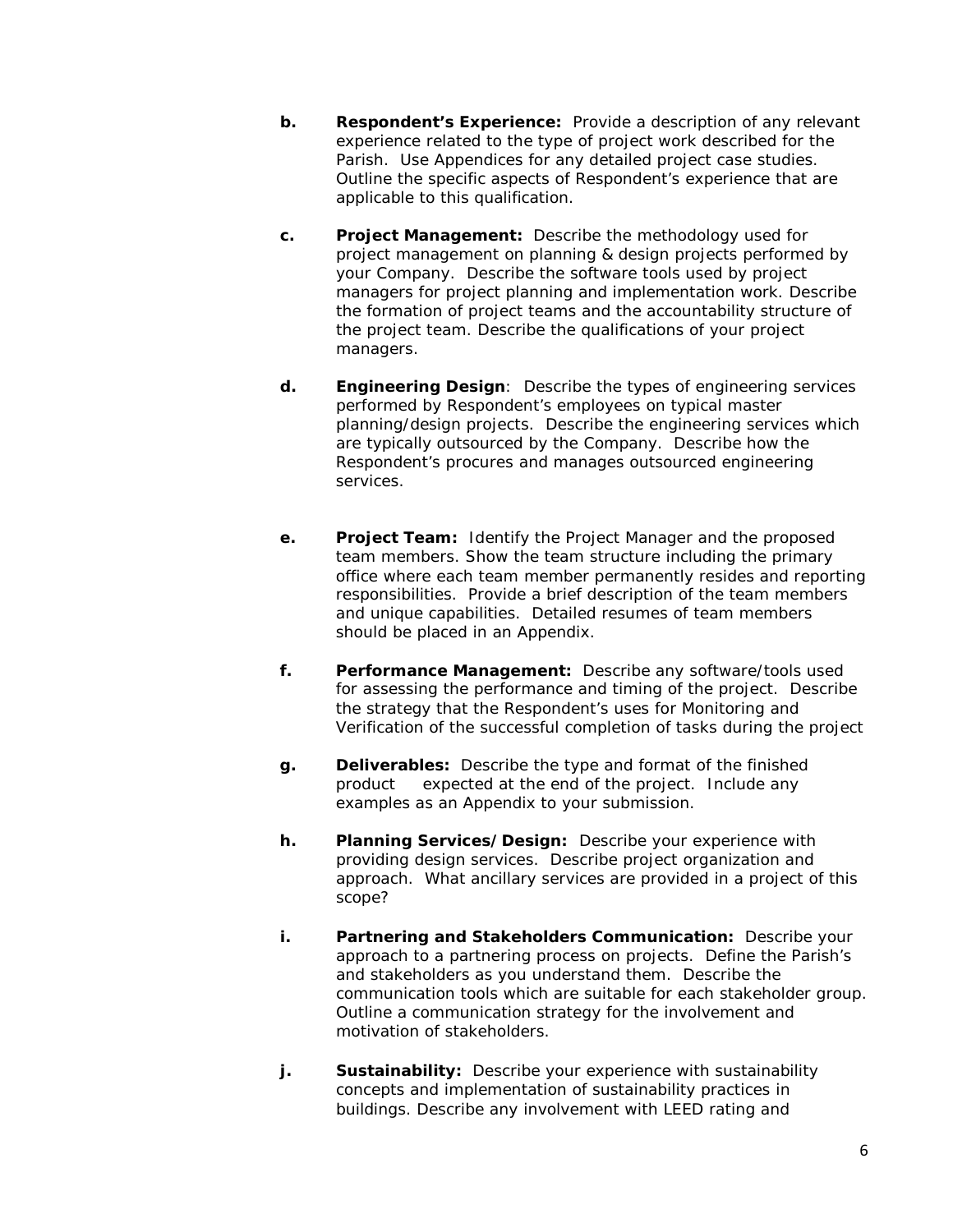- **b. Respondent's Experience:** Provide a description of any relevant experience related to the type of project work described for the Parish. Use Appendices for any detailed project case studies. Outline the specific aspects of Respondent's experience that are applicable to this qualification.
- **c. Project Management:** Describe the methodology used for project management on planning & design projects performed by your Company. Describe the software tools used by project managers for project planning and implementation work. Describe the formation of project teams and the accountability structure of the project team. Describe the qualifications of your project managers.
- **d. Engineering Design**: Describe the types of engineering services performed by Respondent's employees on typical master planning/design projects. Describe the engineering services which are typically outsourced by the Company. Describe how the Respondent's procures and manages outsourced engineering services.
- **e. Project Team:** Identify the Project Manager and the proposed team members. Show the team structure including the primary office where each team member permanently resides and reporting responsibilities. Provide a brief description of the team members and unique capabilities. Detailed resumes of team members should be placed in an Appendix.
- **f. Performance Management:** Describe any software/tools used for assessing the performance and timing of the project. Describe the strategy that the Respondent's uses for Monitoring and Verification of the successful completion of tasks during the project
- **g. Deliverables:** Describe the type and format of the finished product expected at the end of the project. Include any examples as an Appendix to your submission.
- **h. Planning Services/Design:** Describe your experience with providing design services. Describe project organization and approach. What ancillary services are provided in a project of this scope?
- **i. Partnering and Stakeholders Communication:** Describe your approach to a partnering process on projects. Define the Parish's and stakeholders as you understand them. Describe the communication tools which are suitable for each stakeholder group. Outline a communication strategy for the involvement and motivation of stakeholders.
- **j. Sustainability:** Describe your experience with sustainability concepts and implementation of sustainability practices in buildings. Describe any involvement with LEED rating and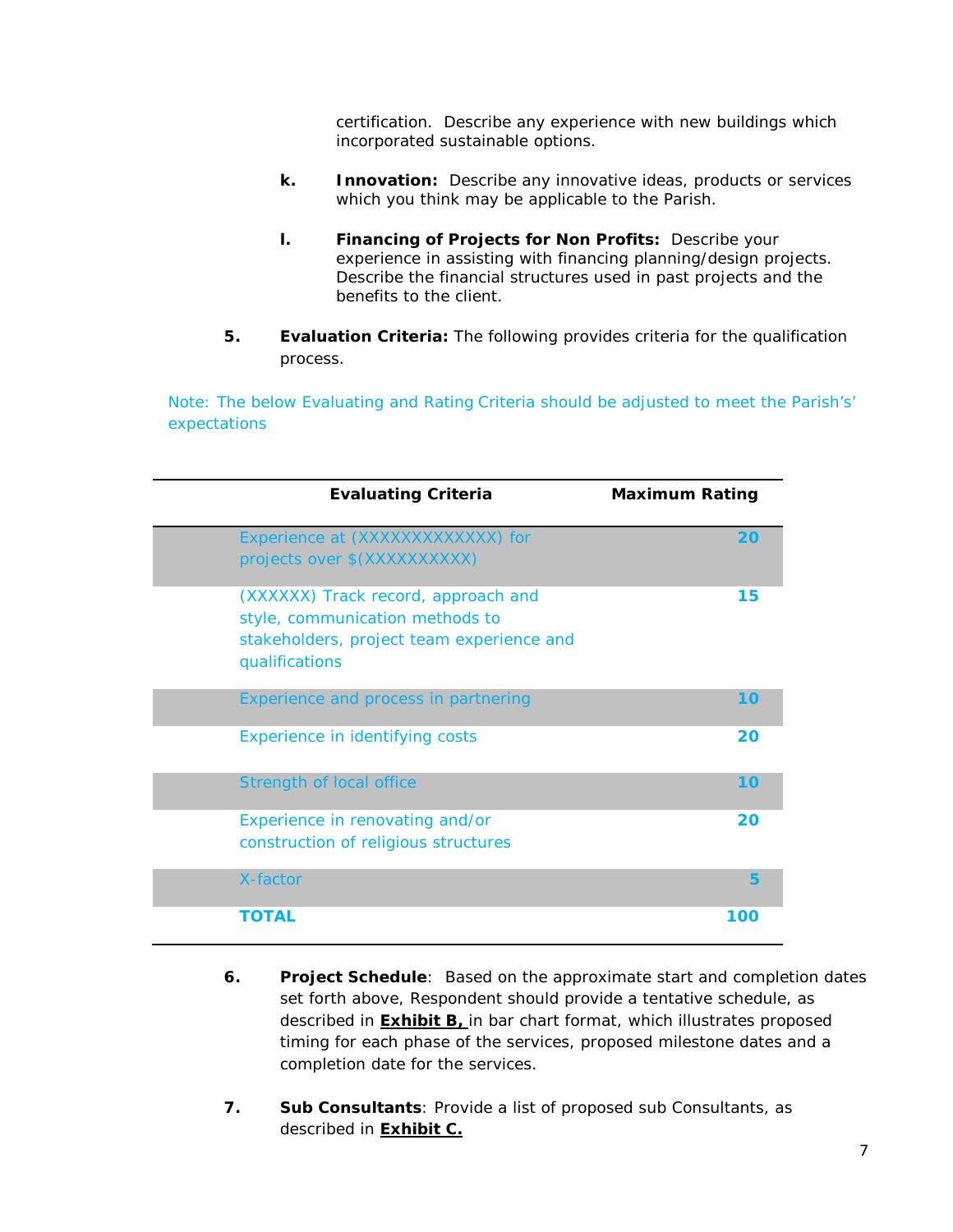certification. Describe any experience with new buildings which incorporated sustainable options.

- **k. Innovation:** Describe any innovative ideas, products or services which you think may be applicable to the Parish.
- **l. Financing of Projects for Non Profits:** Describe your experience in assisting with financing planning/design projects. Describe the financial structures used in past projects and the benefits to the client.
- **5. Evaluation Criteria:** The following provides criteria for the qualification process.

Note: The below Evaluating and Rating Criteria should be adjusted to meet the Parish's' expectations

| <b>Evaluating Criteria</b>                                                                                                            | <b>Maximum Rating</b> |
|---------------------------------------------------------------------------------------------------------------------------------------|-----------------------|
| Experience at (XXXXXXXXXXXX) for<br>projects over \$(XXXXXXXXXX)                                                                      | 20                    |
| (XXXXXX) Track record, approach and<br>style, communication methods to<br>stakeholders, project team experience and<br>qualifications | 15                    |
| Experience and process in partnering                                                                                                  | 10                    |
| Experience in identifying costs                                                                                                       | 20                    |
| <b>Strength of local office</b>                                                                                                       | 10                    |
| Experience in renovating and/or<br>construction of religious structures                                                               | 20                    |
| X-factor                                                                                                                              | 5                     |
| <b>TOTAL</b>                                                                                                                          | 100                   |

- **6. Project Schedule**: Based on the approximate start and completion dates set forth above, Respondent should provide a tentative schedule, as described in **Exhibit B,** in bar chart format, which illustrates proposed timing for each phase of the services, proposed milestone dates and a completion date for the services.
- **7. Sub Consultants**: Provide a list of proposed sub Consultants, as described in **Exhibit C.**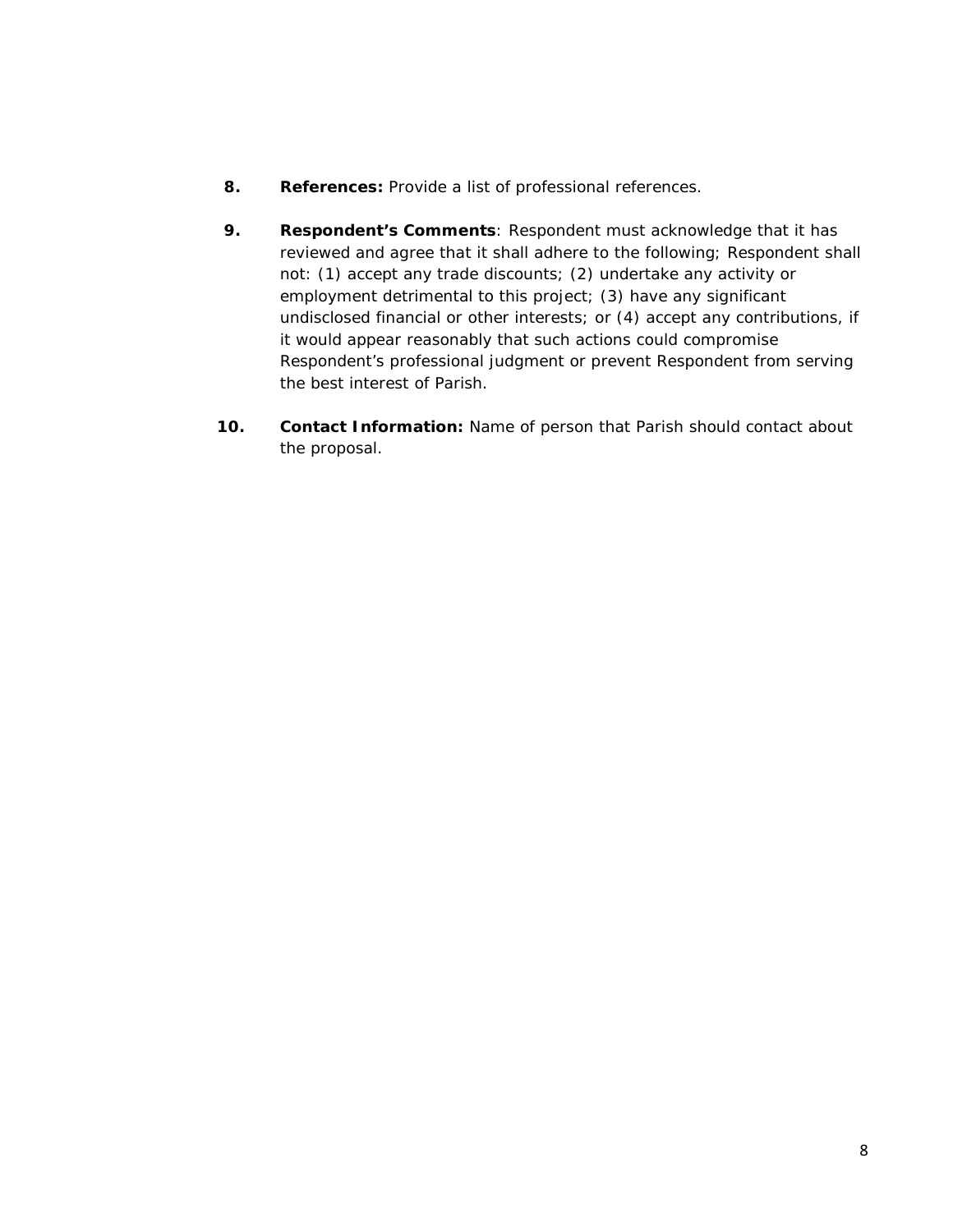- **8. References:** Provide a list of professional references.
- **9. Respondent's Comments**: Respondent must acknowledge that it has reviewed and agree that it shall adhere to the following; Respondent *shall not: (1) accept any trade discounts; (2) undertake any activity or employment detrimental to this project; (3) have any significant undisclosed financial or other interests; or (4) accept any contributions, if it would appear reasonably that such actions could compromise Respondent's professional judgment or prevent Respondent from serving the best interest of Parish.*
- **10. Contact Information:** Name of person that Parish should contact about the proposal.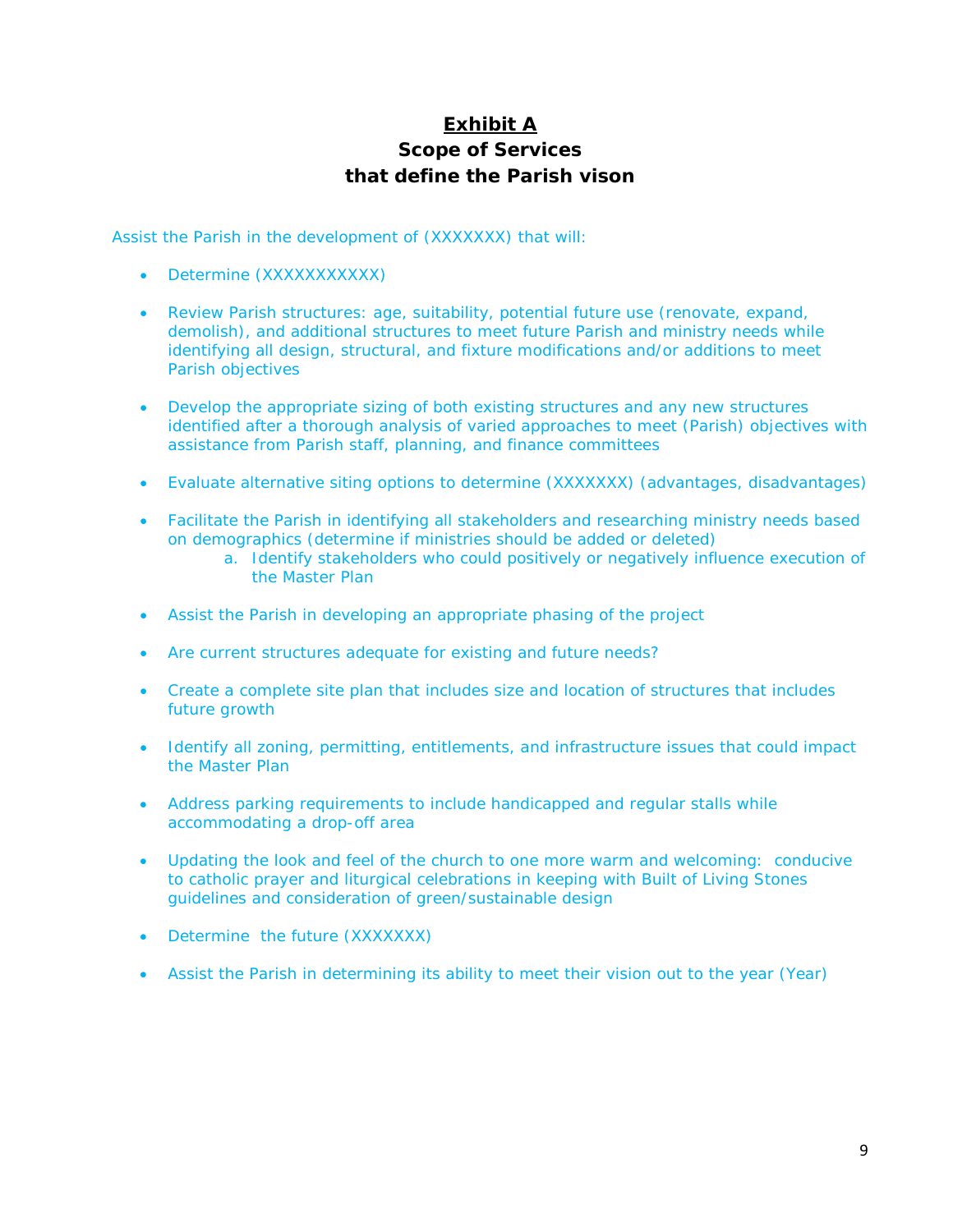# **Exhibit A Scope of Services that define the Parish vison**

Assist the Parish in the development of (XXXXXXX) that will:

- Determine (XXXXXXXXXXXX)
- Review Parish structures: age, suitability, potential future use (renovate, expand, demolish), and additional structures to meet future Parish and ministry needs while identifying all design, structural, and fixture modifications and/or additions to meet Parish objectives
- Develop the appropriate sizing of both existing structures and any new structures identified after a thorough analysis of varied approaches to meet (Parish) objectives with assistance from Parish staff, planning, and finance committees
- Evaluate alternative siting options to determine (XXXXXXX) (advantages, disadvantages)
- Facilitate the Parish in identifying all stakeholders and researching ministry needs based on demographics (determine if ministries should be added or deleted)
	- a. Identify stakeholders who could positively or negatively influence execution of the Master Plan
- Assist the Parish in developing an appropriate phasing of the project
- Are current structures adequate for existing and future needs?
- Create a complete site plan that includes size and location of structures that includes future growth
- Identify all zoning, permitting, entitlements, and infrastructure issues that could impact the Master Plan
- Address parking requirements to include handicapped and regular stalls while accommodating a drop-off area
- Updating the look and feel of the church to one more warm and welcoming: conducive to catholic prayer and liturgical celebrations in keeping with Built of Living Stones guidelines and consideration of green/sustainable design
- Determine the future (XXXXXXX)
- Assist the Parish in determining its ability to meet their vision out to the year (Year)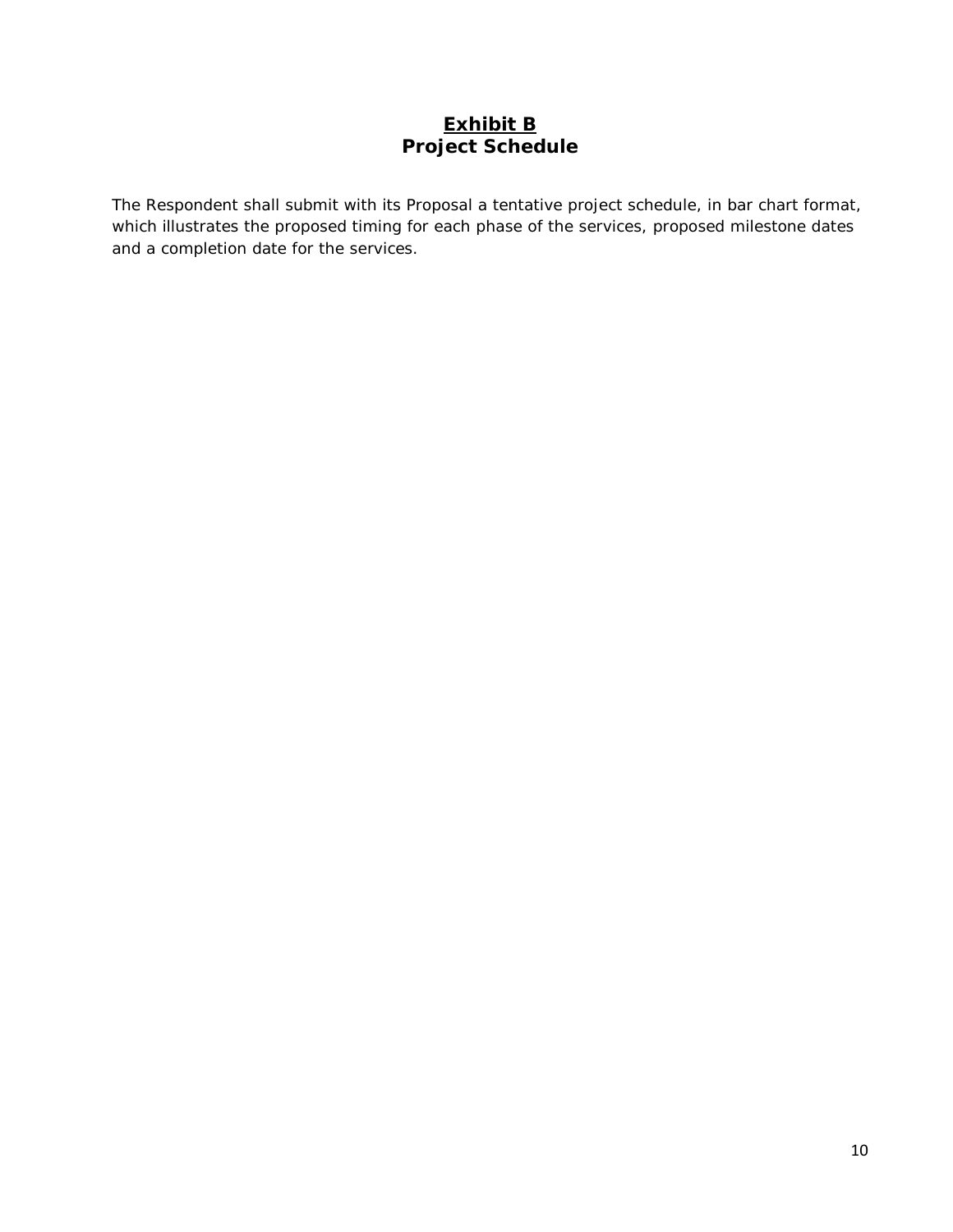# **Exhibit B Project Schedule**

The Respondent shall submit with its Proposal a tentative project schedule, in bar chart format, which illustrates the proposed timing for each phase of the services, proposed milestone dates and a completion date for the services.